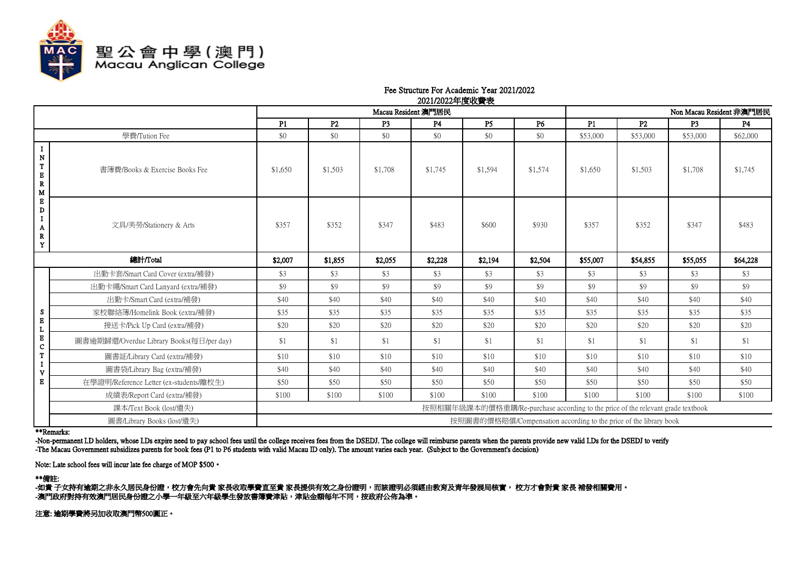

## Fee Structure For Academic Year 2021/2022 2021/2022年度收费表

|                                                                         |                                          | Macau Resident 澳門居民                                                             |                |                |           | Non Macau Resident 非澳門居民 |         |          |          |                |           |
|-------------------------------------------------------------------------|------------------------------------------|---------------------------------------------------------------------------------|----------------|----------------|-----------|--------------------------|---------|----------|----------|----------------|-----------|
|                                                                         |                                          | P1                                                                              | P <sub>2</sub> | P <sub>3</sub> | <b>P4</b> | P <sub>5</sub>           | P6      | P1       | P2       | P <sub>3</sub> | <b>P4</b> |
|                                                                         | 學費/Tution Fee                            | \$0                                                                             | \$0            | \$0            | \$0       | \$0                      | \$0     | \$53,000 | \$53,000 | \$53,000       | \$62,000  |
| $\bf{I}$<br>${\bf N}$<br>$\mathbf T$<br>$\mathbf E$<br>$\mathbb R$<br>M | 書簿費/Books & Exercise Books Fee           | \$1,650                                                                         | \$1,503        | \$1,708        | \$1,745   | \$1,594                  | \$1,574 | \$1,650  | \$1,503  | \$1,708        | \$1,745   |
| $\mathbf E$<br>D<br>$\bf{I}$<br>A<br>${\bf R}$<br>Y                     | 文具/美勞/Stationery & Arts                  | \$357                                                                           | \$352          | \$347          | \$483     | \$600                    | \$930   | \$357    | \$352    | \$347          | \$483     |
|                                                                         | 總計/Total                                 | \$2,007                                                                         | \$1,855        | \$2,055        | \$2,228   | \$2,194                  | \$2,504 | \$55,007 | \$54,855 | \$55,055       | \$64,228  |
|                                                                         | 出勤卡套/Smart Card Cover (extra/補發)         | \$3                                                                             | \$3            | \$3            | \$3       | \$3                      | \$3     | \$3      | \$3      | \$3            | \$3       |
|                                                                         | 出勤卡繩/Smart Card Lanyard (extra/補發)       | \$9                                                                             | \$9            | \$9            | \$9       | \$9                      | \$9     | \$9      | \$9      | \$9            | \$9       |
|                                                                         | 出勤卡/Smart Card (extra/補發)                | \$40                                                                            | \$40           | \$40           | \$40      | \$40                     | \$40    | \$40     | \$40     | \$40           | \$40      |
| ${\bf S}$                                                               | 家校聯絡簿/Homelink Book (extra/補發)           | \$35                                                                            | \$35           | \$35           | \$35      | \$35                     | \$35    | \$35     | \$35     | \$35           | \$35      |
| $\mathbf E$<br>$\mathbf{L}$                                             | 接送卡/Pick Up Card (extra/補發)              | \$20                                                                            | \$20           | \$20           | \$20      | \$20                     | \$20    | \$20     | \$20     | \$20           | \$20      |
| $\mathbf E$<br>$\mathbf C$                                              | 圖書逾期歸還/Overdue Library Books(每日/per day) | \$1                                                                             | \$1            | \$1            | \$1       | \$1                      | \$1     | \$1      | \$1      | \$1            | \$1       |
| $\mathbf T$                                                             | 圖書証/Library Card (extra/補發)              | \$10                                                                            | \$10           | \$10           | \$10      | \$10                     | \$10    | \$10     | \$10     | \$10           | \$10      |
| $\mathbf I$<br>V                                                        | 圖書袋/Library Bag (extra/補發)               | \$40                                                                            | \$40           | \$40           | \$40      | \$40                     | \$40    | \$40     | \$40     | \$40           | \$40      |
| $\bf E$                                                                 | 在學證明/Reference Letter (ex-students/離校生)  | \$50                                                                            | \$50           | \$50           | \$50      | \$50                     | \$50    | \$50     | \$50     | \$50           | \$50      |
|                                                                         | 成績表/Report Card (extra/補發)               | \$100                                                                           | \$100          | \$100          | \$100     | \$100                    | \$100   | \$100    | \$100    | \$100          | \$100     |
|                                                                         | 課本/Text Book (lost/遺失)                   | 按照相關年級課本的價格重購/Re-purchase according to the price of the relevant grade textbook |                |                |           |                          |         |          |          |                |           |
|                                                                         | 圖書/Library Books (lost/遺失)               | 按照圖書的價格賠償/Compensation according to the price of the library book               |                |                |           |                          |         |          |          |                |           |

## \*\*Remarks:

-Non-permanent I.D holders, whose I.Ds expire need to pay school fees until the college receives fees from the DSEDJ. The college will reimburse parents when the parents provide new valid I.Ds for the DSEDJ to verify. -The Macau Government subsidizes parents for book fees (P1 to P6 students with valid Macau ID only). The amount varies each year. (Subject to the Government's decision)

Note: Late school fees will incur late fee charge of MOP \$500。

\*\*備註:

-如貴 子女持有逾期之非永久居民身份證,校方會先向貴 家長收取學費直至貴 家長提供有效之身份證明,而該證明必須經由教育及青年發展局核實, 校方才會對貴 家長 補發相關費用。 -澳門政府對持有效澳門居民身份證之小學一年級至六年級學生發放書簿費津貼,津貼金額每年不同,按政府公佈為準。

注意: 逾期學費將另加收取澳門幣500圓正。